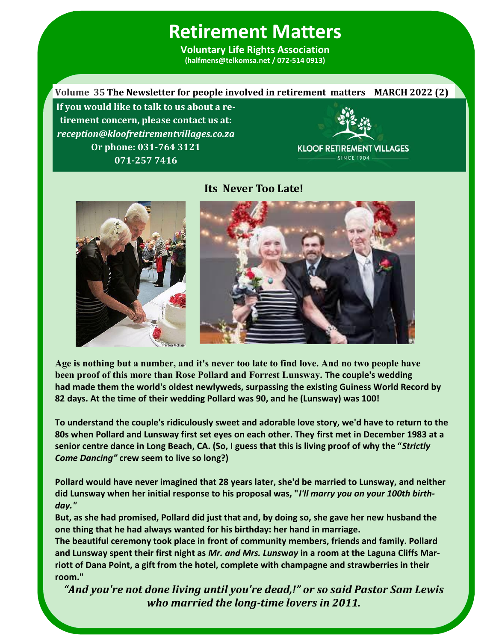**Voluntary Life Rights Association (halfmens@telkomsa.net / 072-514 0913)**

**Volume 35 The Newsletter for people involved in retirement matters MARCH 2022 (2) If you would like to talk to us about a retirement concern, please contact us at:**  *reception@kloofretirementvillages.co.za* **Or phone: 031-764 3121 KLOOF RETIREMENT VILLAGES** - SINCE 1904 **071-257 7416**



**Its Never Too Late!**



**Age is nothing but a number, and it's never too late to find love. And no two people have been proof of this more than Rose Pollard and Forrest Lunsway. The couple's wedding had [made them the world's oldest newlyweds,](https://www.dailymail.co.uk/news/article-1383542/Worlds-oldest-newlyweds-Forrest-Rose-Lunsway-reveal-secret-longevity.html) surpassing the existing Guiness World Record by 82 days. At the time of their wedding Pollard was 90, and he (Lunsway) was 100!**

**To understand the couple's ridiculously sweet and adorable love story, we'd have to return to the 80s when Pollard and Lunsway first set eyes on each other. They first met in December 1983 at a senior centre dance in Long Beach, CA. (So, I guess that this is living proof of why the "***Strictly Come Dancing"* **crew seem to live so long?)**

**Pollard would have never imagined that 28 years later, she'd be married to Lunsway, and neither did Lunsway when her initial response to his proposal was, "***I'll marry you on your 100th birthday."*

**But, as she had promised, Pollard did just that and, by doing so, she gave her new husband the one thing that he had always wanted for his birthday: her hand in marriage.**

**The beautiful ceremony took place in front of community members, friends and family. Pollard and Lunsway spent their first night as** *Mr. and Mrs. Luns***w***ay* **in a room at the Laguna Cliffs Marriott of Dana Point, a gift from the hotel, complete with champagne and strawberries in their room."**

*"And you're not done living until you're dead,!" or so said Pastor Sam Lewis who married the long-time lovers in 2011.* 

**1**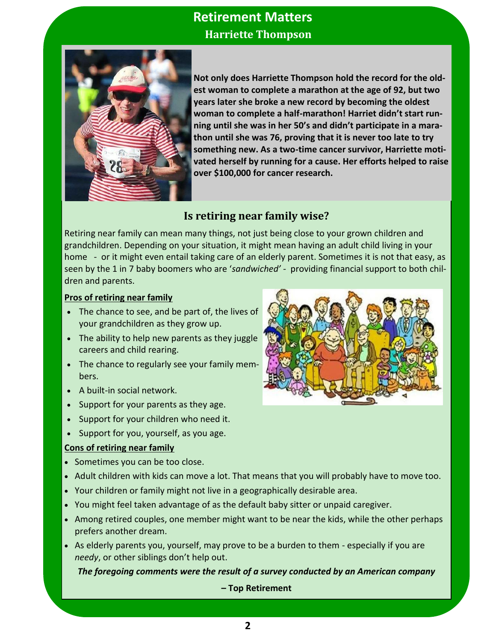# 2 **Retirement Matters** **Harriette Thompson**



**Not only does Harriette Thompson hold the record for the oldest woman to complete a marathon at the age of 92, but two years later she broke a new record by becoming the oldest woman to complete a half-marathon! Harriet didn't start running until she was in her 50's and didn't participate in a marathon until she was 76, proving that it is never too late to try something new. As a two-time cancer survivor, Harriette motivated herself by running for a cause. Her efforts helped to raise over \$100,000 for cancer research.**

### **Is retiring near family wise?**

Retiring near family can mean many things, not just being close to your grown children and grandchildren. Depending on your situation, it might mean having an adult child living in your home - or it might even entail taking care of an elderly parent. Sometimes it is not that easy, as seen by the 1 in 7 baby boomers who are '*sandwiched' -* providing financial support to both children and parents.

#### **Pros of retiring near family**

- The chance to see, and be part of, the lives of your grandchildren as they grow up.
- The ability to help new parents as they juggle careers and child rearing.
- The chance to regularly see your family members.
- A built-in social network.
- Support for your parents as they age.
- Support for your children who need it.
- Support for you, yourself, as you age.

#### **Cons of retiring near family**

- Sometimes you can be too close.
- Adult children with kids can move a lot. That means that you will probably have to move too.
- Your children or family might not live in a geographically desirable area.
- You might feel taken advantage of as the default baby sitter or unpaid caregiver.
- Among retired couples, one member might want to be near the kids, while the other perhaps prefers another dream.
- As elderly parents you, yourself, may prove to be a burden to them especially if you are *needy*, or other siblings don't help out.

*The foregoing comments were the result of a survey conducted by an American company* 

**– Top Retirement**

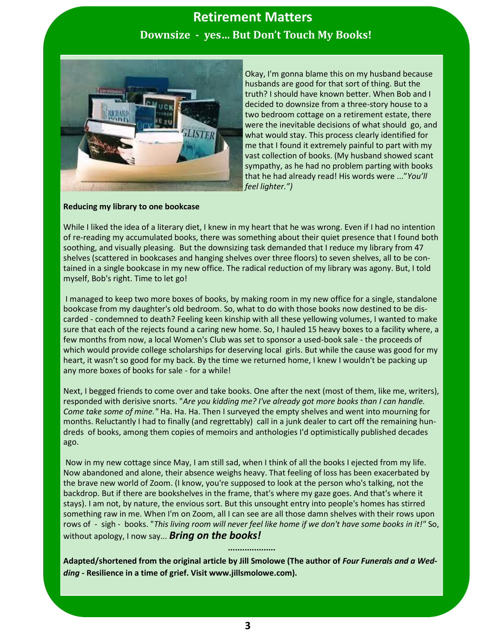# 3 **Retirement Matters Downsize - yes… But Don't Touch My Books!**



Okay, I'm gonna blame this on my husband because husbands are good for that sort of thing. But the truth? I should have known better. When Bob and I decided to downsize from a three-story house to a two bedroom cottage on a retirement estate, there were the inevitable decisions of what should go, and what would stay. This process clearly identified for me that I found it extremely painful to part with my vast collection of books. (My husband showed scant sympathy, as he had no problem parting with books that he had already read! His words were ..."*You'll feel lighter.")*

#### **Reducing my library to one bookcase**

While I liked the idea of a literary diet, I knew in my heart that he was wrong. Even if I had no intention of re-reading my accumulated books, there was something about their quiet presence that I found both soothing, and visually pleasing. But the downsizing task demanded that I reduce my library from 47 shelves (scattered in bookcases and hanging shelves over three floors) to seven shelves, all to be contained in a single bookcase in my new office. The radical reduction of my library was agony. But, I told myself, Bob's right. Time to let go!

I managed to keep two more boxes of books, by making room in my new office for a single, standalone bookcase from my daughter's old bedroom. So, what to do with those books now destined to be discarded - condemned to death? Feeling keen kinship with all these yellowing volumes, I wanted to make sure that each of the rejects found a caring new home. So, I hauled 15 heavy boxes to a facility where, a few months from now, a local Women's Club was set to sponsor a used-book sale - the proceeds of which would provide college scholarships for deserving local girls. But while the cause was good for my heart, it wasn't so good for my back. By the time we returned home, I knew I wouldn't be packing up any more boxes of books for sale - for a while!

Next, I begged friends to come over and take books. One after the next (most of them, like me, writers), responded with derisive snorts. "*Are you kidding me? I've already got more books than I can handle. Come take some of mine."* Ha. Ha. Ha. Then I surveyed the empty shelves and went into mourning for months. Reluctantly I had to finally (and regrettably) call in a junk dealer to cart off the remaining hundreds of books, among them copies of memoirs and anthologies I'd optimistically published decades ago.

Now in my new cottage since May, I am still sad, when I think of all the books I ejected from my life. Now abandoned and alone, their absence weighs heavy. That feeling of loss has been exacerbated by [the brave new world of Zoom.](https://www.nextavenue.org/virtual-connections-have-never-been-more-popular/) (I know, you're supposed to look at the person who's talking, not the backdrop. But if there are bookshelves in the frame, that's where my gaze goes. And that's where it stays). I am not, by nature, the envious sort. But this unsought entry into people's homes has stirred something raw in me. When I'm on Zoom, all I can see are all those damn shelves with their rows upon rows of - sigh - books. "*This living room will never feel like home if we don't have some books in it!"* So, without apology, I now say... *Bring on the books!* 

**Adapted/shortened from the original article by Jill Smolowe (The author of** *Four Funerals and a Wedding -* **Resilience in a time of grief. Visit www.jillsmolowe.com).** 

**....................**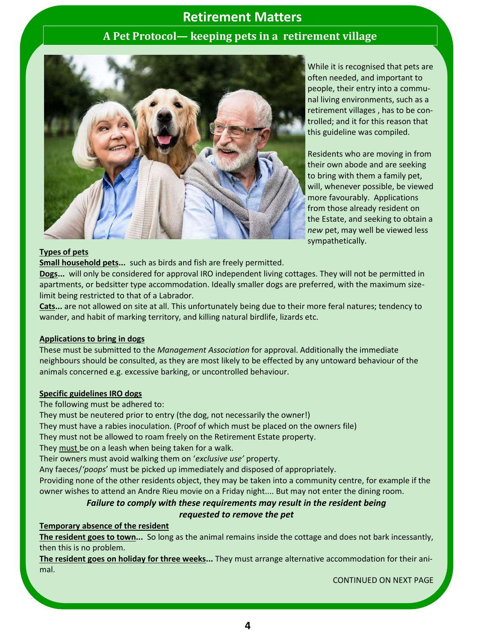### **A Pet Protocol— keeping pets in a retirement village**



While it is recognised that pets are often needed, and important to people, their entry into a communal living environments, such as a retirement villages , has to be controlled; and it for this reason that this guideline was compiled.

Residents who are moving in from their own abode and are seeking to bring with them a family pet, will, whenever possible, be viewed more favourably. Applications from those already resident on the Estate, and seeking to obtain a *new* pet, may well be viewed less sympathetically.

#### **Types of pets**

**Small household pets...** such as birds and fish are freely permitted.

**Dogs...** will only be considered for approval IRO independent living cottages. They will not be permitted in apartments, or bedsitter type accommodation. Ideally smaller dogs are preferred, with the maximum sizelimit being restricted to that of a Labrador.

**Cats...** are not allowed on site at all. This unfortunately being due to their more feral natures; tendency to wander, and habit of marking territory, and killing natural birdlife, lizards etc.

#### **Applications to bring in dogs**

These must be submitted to the *Management Association* for approval. Additionally the immediate neighbours should be consulted, as they are most likely to be effected by any untoward behaviour of the animals concerned e.g. excessive barking, or uncontrolled behaviour.

#### **Specific guidelines IRO dogs**

The following must be adhered to:

They must be neutered prior to entry (the dog, not necessarily the owner!)

They must have a rabies inoculation. (Proof of which must be placed on the owners file)

They must not be allowed to roam freely on the Retirement Estate property.

They must be on a leash when being taken for a walk.

Their owners must avoid walking them on '*exclusive use'* property.

Any faeces/*'poops*' must be picked up immediately and disposed of appropriately.

Providing none of the other residents object, they may be taken into a community centre, for example if the owner wishes to attend an Andre Rieu movie on a Friday night.... But may not enter the dining room.

#### *Failure to comply with these requirements may result in the resident being*

#### *requested to remove the pet*

#### **Temporary absence of the resident**

**The resident goes to town...** So long as the animal remains inside the cottage and does not bark incessantly, then this is no problem.

**The resident goes on holiday for three weeks...** They must arrange alternative accommodation for their animal.

CONTINUED ON NEXT PAGE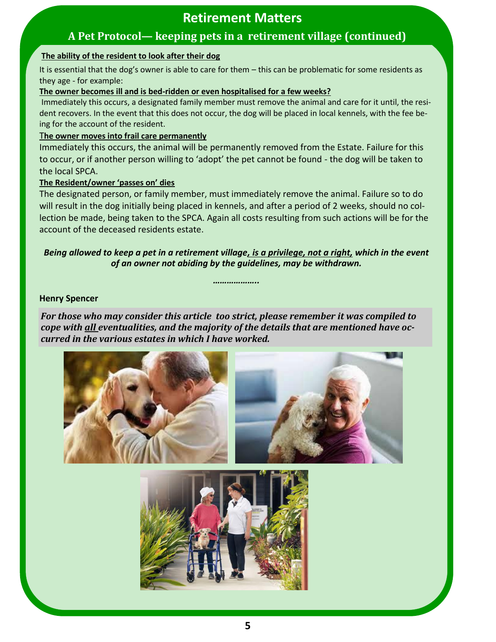## **A Pet Protocol— keeping pets in a retirement village (continued)**

#### **The ability of the resident to look after their dog**

It is essential that the dog's owner is able to care for them – this can be problematic for some residents as they age - for example:

#### **The owner becomes ill and is bed-ridden or even hospitalised for a few weeks?**

Immediately this occurs, a designated family member must remove the animal and care for it until, the resident recovers. In the event that this does not occur, the dog will be placed in local kennels, with the fee being for the account of the resident.

#### T**he owner moves into frail care permanently**

Immediately this occurs, the animal will be permanently removed from the Estate. Failure for this to occur, or if another person willing to 'adopt' the pet cannot be found - the dog will be taken to the local SPCA.

#### **The Resident/owner 'passes on' dies**

The designated person, or family member, must immediately remove the animal. Failure so to do will result in the dog initially being placed in kennels, and after a period of 2 weeks, should no collection be made, being taken to the SPCA. Again all costs resulting from such actions will be for the account of the deceased residents estate.

#### *Being allowed to keep a pet in a retirement village, is a privilege, not a right, which in the event of an owner not abiding by the guidelines, may be withdrawn.*

*………………..*

#### **Henry Spencer**

*For those who may consider this article too strict, please remember it was compiled to cope with all eventualities, and the majority of the details that are mentioned have occurred in the various estates in which I have worked.*



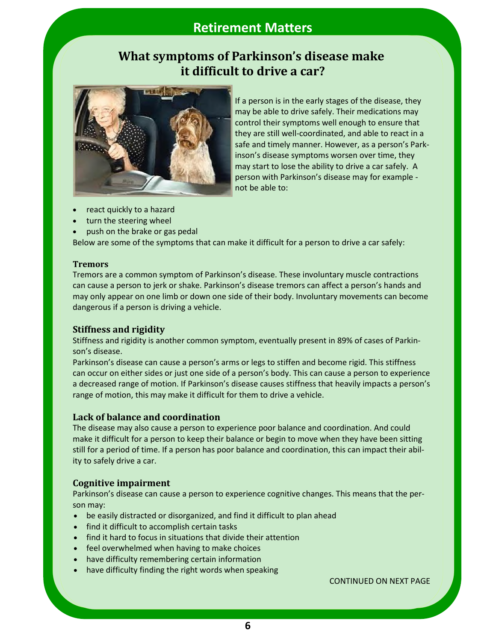## **What symptoms of Parkinson's disease make it difficult to drive a car?**



If a person is in the early stages of the disease, they may be able to drive safely. Their medications may control their symptoms well enough to ensure that they are still well-coordinated, and able to react in a safe and timely manner. However, as a person's Parkinson's disease symptoms worsen over time, they may start to lose the ability to drive a car safely. A person with Parkinson's disease [may for example](https://www.parkinson.org/Living-with-Parkinsons/Managing-Parkinsons/Activities-of-Daily-Living/Driving)  [not](https://www.parkinson.org/Living-with-Parkinsons/Managing-Parkinsons/Activities-of-Daily-Living/Driving) be able to:

- react quickly to a hazard
- turn the steering wheel
- push on the brake or gas pedal

Below are some of the symptoms that can make it difficult for a person to drive a car safely:

#### **Tremors**

[Tremors](https://www.medicalnewstoday.com/articles/parkinsons-tremor) are a [common symptom](https://www.ncbi.nlm.nih.gov/pmc/articles/PMC6186312/) of Parkinson's disease. These involuntary muscle contractions can cause a person to jerk or shake. Parkinson's disease tremors can affect a person's hands and may only appear on one limb or down one side of their body. Involuntary movements can become dangerous if a person is driving a vehicle.

#### **Stiffness and rigidity**

Stiffness and rigidity is another common symptom, eventually present in [89% of](https://pubmed.ncbi.nlm.nih.gov/32041374/) cases of Parkinson's disease.

Parkinson's disease can cause a person's arms or legs to stiffen and become rigid. This stiffness can occur on either sides or just one side of a person's body. This can cause a person to experience a [decreased](https://www.parkinson.org/Understanding-Parkinsons/Symptoms/Movement-Symptoms/Rigidity-Stiffness#:~:text=Rigidity%2C%20while%20seldom%20the%20main,a%20decreased%20range%20of%20motion.) range of motion. If Parkinson's disease causes stiffness that heavily impacts a person's range of motion, this may make it difficult for them to drive a vehicle.

#### **Lack of balance and coordination**

The disease may also cause a person to experience poor balance and coordination. And could [make it difficult](https://www.parkinson.org/Living-with-Parkinsons/Managing-Parkinsons/Activities-of-Daily-Living/Driving) for a person to keep their balance or begin to move when they have been sitting still for a period of time. If a person has poor balance and coordination, this can impact their ability to safely drive a car.

#### **Cognitive impairment**

Parkinson's disease can cause a person to [experience](https://www.parkinson.org/Understanding-Parkinsons/Symptoms/Non-Movement-Symptoms/Cognitive-Changes) cognitive changes. This means that the person may:

- be easily distracted or disorganized, and find it difficult to plan ahead
- find it difficult to accomplish certain tasks
- find it hard to focus in situations that divide their attention
- feel overwhelmed when having to make choices
- have difficulty remembering certain information
- have difficulty finding the right words when speaking

CONTINUED ON NEXT PAGE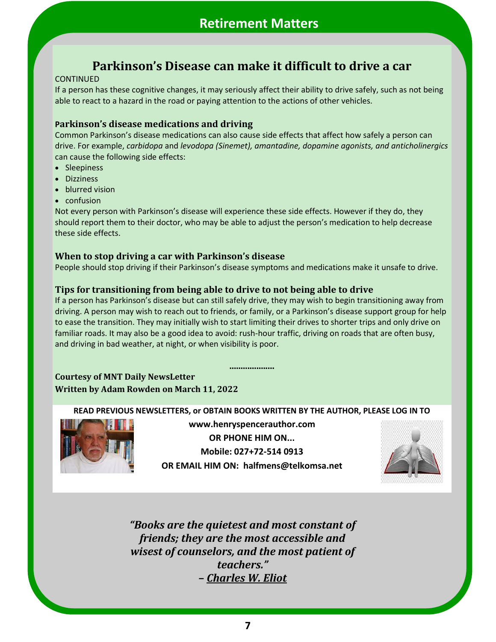## **Parkinson's Disease can make it difficult to drive a car**

#### CONTINUED

If a person has these cognitive changes, it may seriously affect their ability to drive safely, such as not being able to react to a hazard in the road or paying attention to the actions of other vehicles.

#### **Parkinson's disease medications and driving**

Common Parkinson's disease medications can also cause side effects that affect how safely a person can drive. For example, *carbidopa* and *[levodopa \(Sinemet\),](https://www.medicalnewstoday.com/articles/sinemet) [amantadine,](https://www.medicalnewstoday.com/articles/325643) [dopamine agonists,](https://www.medicalnewstoday.com/articles/dopamine-agonists) and [anticholinergics](https://www.medicalnewstoday.com/articles/323514)* can cause the [following](https://www.parkinson.org/Living-with-Parkinsons/Managing-Parkinsons/Activities-of-Daily-Living/Driving) side effects:

- Sleepiness
- Dizziness
- blurred vision
- confusion

Not every person with Parkinson's disease will experience these side effects. However if they do, they should report them to their doctor, who may be able to adjust the person's medication to help decrease these side effects.

#### **When to stop driving a car with Parkinson's disease**

People should stop driving if their Parkinson's disease symptoms and medications make it unsafe to drive.

#### *..* **Tips for transitioning from being able to drive to not being able to drive**

If a person has Parkinson's disease but can still safely drive, they may wish to begin transitioning away from driving. A person may wish to reach out to friends, or family, or a Parkinson's disease support group for help to ease the transition. They may initially wish to start limiting their drives to shorter trips and only drive on familiar roads. It may also be a good idea to avoid: rush-hour traffic, driving on roads that are often busy, and driving in bad weather, at night, or when visibility is poor.

**....................**

#### **Courtesy of MNT Daily NewsLetter Written by Adam Rowden on March 11, 2022**

**READ PREVIOUS NEWSLETTERS, or OBTAIN BOOKS WRITTEN BY THE AUTHOR, PLEASE LOG IN TO** 



**www.henryspencerauthor.com OR PHONE HIM ON... Mobile: 027+72-514 0913 OR EMAIL HIM ON: halfmens@telkomsa.net**



*"Books are the quietest and most constant of friends; they are the most accessible and wisest of counselors, and the most patient of teachers." – Charles W. Eliot*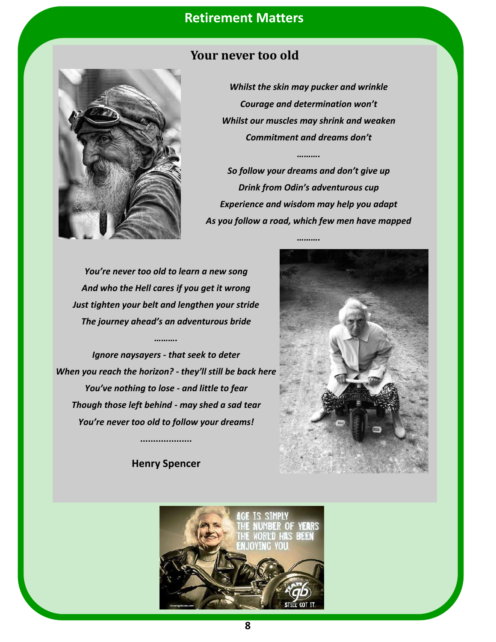

### **Your never too old**

*Whilst the skin may pucker and wrinkle Courage and determination won't Whilst our muscles may shrink and weaken Commitment and dreams don't*

*……….*

*So follow your dreams and don't give up Drink from Odin's adventurous cup Experience and wisdom may help you adapt As you follow a road, which few men have mapped*

*……….*

*You're never too old to learn a new song And who the Hell cares if you get it wrong Just tighten your belt and lengthen your stride The journey ahead's an adventurous bride*

*……….*

*Ignore naysayers - that seek to deter When you reach the horizon? - they'll still be back here You've nothing to lose - and little to fear Though those left behind - may shed a sad tear You're never too old to follow your dreams!*

**Henry Spencer**

**....................**



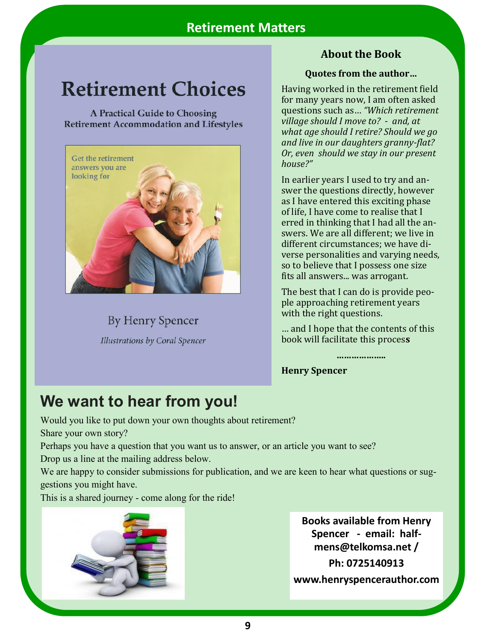# **Retirement Choices**

A Practical Guide to Choosing **Retirement Accommodation and Lifestyles** 



**By Henry Spencer** Illustrations by Coral Spencer

## **About the Book**

#### **Quotes from the author…**

Having worked in the retirement field for many years now, I am often asked questions such as… *"Which retirement village should I move to? - and, at what age should I retire? Should we go and live in our daughters granny-flat? Or, even should we stay in our present house?"*

In earlier years I used to try and answer the questions directly, however as I have entered this exciting phase of life, I have come to realise that I erred in thinking that I had all the answers. We are all different; we live in different circumstances; we have diverse personalities and varying needs, so to believe that I possess one size fits all answers... was arrogant.

The best that I can do is provide people approaching retirement years with the right questions.

… and I hope that the contents of this book will facilitate this proces**s**

**………………..**

**Henry Spencer**

# **We want to hear from you!**

Would you like to put down your own thoughts about retirement?

Share your own story?

Perhaps you have a question that you want us to answer, or an article you want to see?

Drop us a line at the mailing address below.

We are happy to consider submissions for publication, and we are keen to hear what questions or suggestions you might have.

This is a shared journey - come along for the ride!



**Books available from Henry Spencer - email: halfmens@telkomsa.net / Ph: 0725140913 www.henryspencerauthor.com**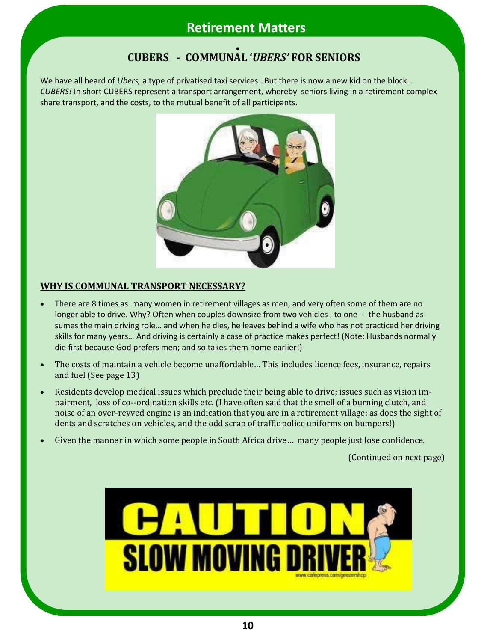#### **CUBERS - COMMUNAL '***UBERS'* **FOR SENIORS**  $\bullet$

We have all heard of *Ubers,* a type of privatised taxi services . But there is now a new kid on the block… *CUBERS!* In short CUBERS represent a transport arrangement, whereby seniors living in a retirement complex share transport, and the costs, to the mutual benefit of all participants.



### **WHY IS COMMUNAL TRANSPORT NECESSARY?**

- There are 8 times as many women in retirement villages as men, and very often some of them are no longer able to drive. Why? Often when couples downsize from two vehicles, to one - the husband assumes the main driving role… and when he dies, he leaves behind a wife who has not practiced her driving skills for many years… And driving is certainly a case of practice makes perfect! (Note: Husbands normally die first because God prefers men; and so takes them home earlier!)
- The costs of maintain a vehicle become unaffordable… This includes licence fees, insurance, repairs and fuel (See page 13)
- Residents develop medical issues which preclude their being able to drive; issues such as vision impairment, loss of co--ordination skills etc. (I have often said that the smell of a burning clutch, and noise of an over-revved engine is an indication that you are in a retirement village: as does the sight of dents and scratches on vehicles, and the odd scrap of traffic police uniforms on bumpers!)
- Given the manner in which some people in South Africa drive… many people just lose confidence.

(Continued on next page)

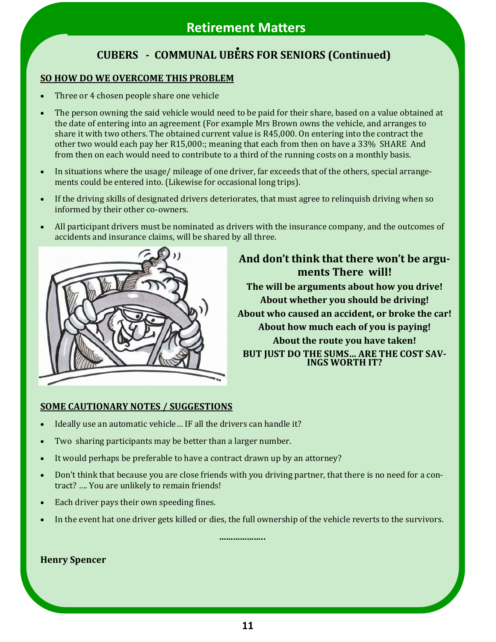# **CUBERS - COMMUNAL UBERS FOR SENIORS (Continued)**

### **SO HOW DO WE OVERCOME THIS PROBLEM**

- Three or 4 chosen people share one vehicle
- The person owning the said vehicle would need to be paid for their share, based on a value obtained at the date of entering into an agreement (For example Mrs Brown owns the vehicle, and arranges to share it with two others. The obtained current value is R45,000. On entering into the contract the other two would each pay her R15,000:; meaning that each from then on have a 33% SHARE And from then on each would need to contribute to a third of the running costs on a monthly basis.
- In situations where the usage/ mileage of one driver, far exceeds that of the others, special arrangements could be entered into. (Likewise for occasional long trips).
- If the driving skills of designated drivers deteriorates, that must agree to relinquish driving when so informed by their other co-owners.
- All participant drivers must be nominated as drivers with the insurance company, and the outcomes of accidents and insurance claims, will be shared by all three.



### **And don't think that there won't be arguments There will! The will be arguments about how you drive! About whether you should be driving! About who caused an accident, or broke the car! About how much each of you is paying! About the route you have taken! BUT JUST DO THE SUMS… ARE THE COST SAV-INGS WORTH IT?**

#### **SOME CAUTIONARY NOTES / SUGGESTIONS**

- Ideally use an automatic vehicle… IF all the drivers can handle it?
- Two sharing participants may be better than a larger number.
- It would perhaps be preferable to have a contract drawn up by an attorney?
- Don't think that because you are close friends with you driving partner, that there is no need for a contract? …. You are unlikely to remain friends!
- Each driver pays their own speeding fines.
- In the event hat one driver gets killed or dies, the full ownership of the vehicle reverts to the survivors.

**………………..**

**Henry Spencer**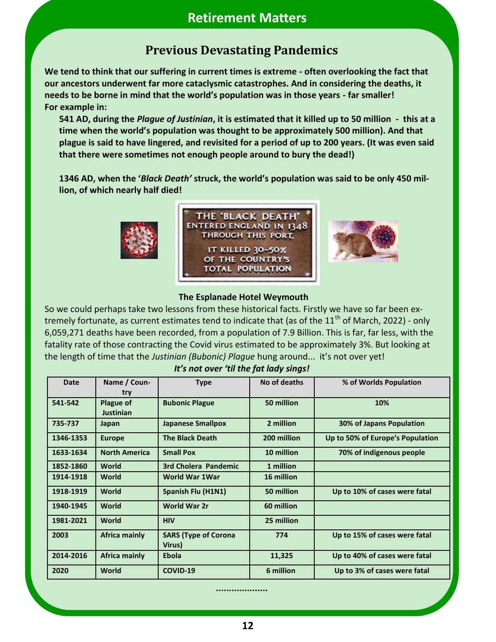# **Previous Devastating Pandemics**

**We tend to think that our suffering in current times is extreme - often overlooking the fact that our ancestors underwent far more cataclysmic catastrophes. And in considering the deaths, it needs to be borne in mind that the world's population was in those years - far smaller! For example in:**

**541 AD, during the** *Plague of Justinian***, it is estimated that it killed up to 50 million - this at a time when the world's population was thought to be approximately 500 million). And that plague is said to have lingered, and revisited for a period of up to 200 years. (It was even said that there were sometimes not enough people around to bury the dead!)**

**1346 AD, when the '***Black Death'* **struck, the world's population was said to be only 450 million, of which nearly half died!**



#### **The Esplanade Hotel Weymouth**

So we could perhaps take two lessons from these historical facts. Firstly we have so far been extremely fortunate, as current estimates tend to indicate that (as of the 11<sup>th</sup> of March, 2022) - only 6,059,271 deaths have been recorded, from a population of 7.9 Billion. This is far, far less, with the fatality rate of those contracting the Covid virus estimated to be approximately 3%. But looking at the length of time that the *Justinian (Bubonic) Plague* hung around... it's not over yet!

| <b>Date</b> | Name / Coun-         | <b>Type</b>                           | No of deaths | % of Worlds Population           |
|-------------|----------------------|---------------------------------------|--------------|----------------------------------|
|             | try                  |                                       |              |                                  |
| 541-542     | <b>Plague of</b>     | <b>Bubonic Plague</b>                 | 50 million   | 10%                              |
|             | <b>Justinian</b>     |                                       |              |                                  |
| 735-737     | Japan                | <b>Japanese Smallpox</b>              | 2 million    | 30% of Japans Population         |
| 1346-1353   | <b>Europe</b>        | <b>The Black Death</b>                | 200 million  | Up to 50% of Europe's Population |
| 1633-1634   | <b>North America</b> | <b>Small Pox</b>                      | 10 million   | 70% of indigenous people         |
| 1852-1860   | World                | 3rd Cholera Pandemic                  | 1 million    |                                  |
| 1914-1918   | <b>World</b>         | <b>World War 1War</b>                 | 16 million   |                                  |
| 1918-1919   | <b>World</b>         | Spanish Flu (H1N1)                    | 50 million   | Up to 10% of cases were fatal    |
| 1940-1945   | World                | <b>World War 2r</b>                   | 60 million   |                                  |
| 1981-2021   | <b>World</b>         | <b>HIV</b>                            | 25 million   |                                  |
| 2003        | <b>Africa mainly</b> | <b>SARS (Type of Corona</b><br>Virus) | 774          | Up to 15% of cases were fatal    |
| 2014-2016   | <b>Africa mainly</b> | <b>Ebola</b>                          | 11,325       | Up to 40% of cases were fatal    |
| 2020        | <b>World</b>         | COVID-19                              | 6 million    | Up to 3% of cases were fatal     |

#### *It's not over 'til the fat lady sings!*

**....................**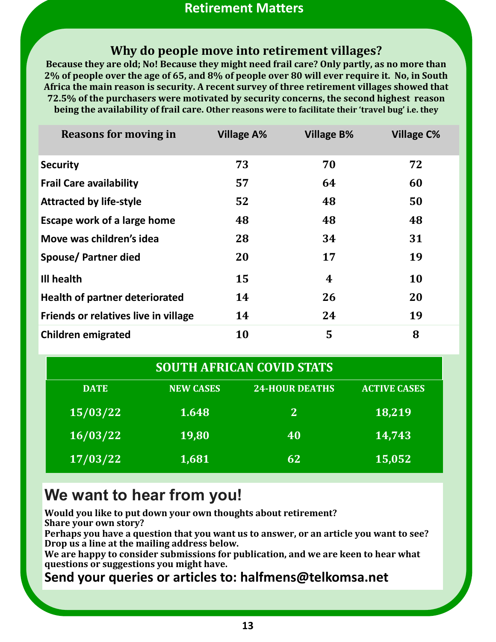## **Why do people move into retirement villages?**

**Because they are old; No! Because they might need frail care? Only partly, as no more than 2% of people over the age of 65, and 8% of people over 80 will ever require it. No, in South Africa the main reason is security. A recent survey of three retirement villages showed that 72.5% of the purchasers were motivated by security concerns, the second highest reason being the availability of frail care. Other reasons were to facilitate their 'travel bug' i.e. they** 

| Reasons for moving in                 | <b>Village A%</b> | <b>Village B%</b> | <b>Village C%</b> |
|---------------------------------------|-------------------|-------------------|-------------------|
| <b>Security</b>                       | 73                | 70                | 72                |
| <b>Frail Care availability</b>        | 57                | 64                | 60                |
| <b>Attracted by life-style</b>        | 52                | 48                | 50                |
| <b>Escape work of a large home</b>    | 48                | 48                | 48                |
| Move was children's idea              | 28                | 34                | 31                |
| Spouse/Partner died                   | 20                | 17                | 19                |
| Ill health                            | 15                | 4                 | <b>10</b>         |
| <b>Health of partner deteriorated</b> | 14                | 26                | 20                |
| Friends or relatives live in village  | 14                | 24                | 19                |
| <b>Children emigrated</b>             | <b>10</b>         | 5                 | 8                 |

| <b>SOUTH AFRICAN COVID STATS</b> |                  |                       |                     |  |  |  |  |
|----------------------------------|------------------|-----------------------|---------------------|--|--|--|--|
| <b>DATE</b>                      | <b>NEW CASES</b> | <b>24-HOUR DEATHS</b> | <b>ACTIVE CASES</b> |  |  |  |  |
| 15/03/22                         | 1.648            | <sup>2</sup>          | 18,219              |  |  |  |  |
| 16/03/22                         | 19,80            | 40                    | 14,743              |  |  |  |  |
| 17/03/22                         | 1,681            | 62                    | 15,052              |  |  |  |  |

# **We want to hear from you!**

**Would you like to put down your own thoughts about retirement? Share your own story?**

**Perhaps you have a question that you want us to answer, or an article you want to see? Drop us a line at the mailing address below.**

**We are happy to consider submissions for publication, and we are keen to hear what questions or suggestions you might have.**

## **Send your queries or articles to: halfmens@telkomsa.net**